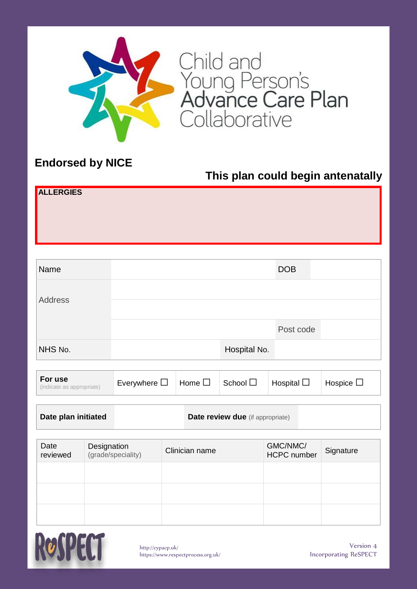

Child and<br>Young Person's<br>**Advance Care Plan**<br>Collaborative

## **Endorsed by NICE**

## **This plan could begin antenatally**

| ALLERGIES |  |  |  |
|-----------|--|--|--|
|           |  |  |  |
|           |  |  |  |
|           |  |  |  |

| Name    |              | <b>DOB</b> |  |
|---------|--------------|------------|--|
| Address |              |            |  |
|         |              | Post code  |  |
| NHS No. | Hospital No. |            |  |

| For use<br>(indicate as appropriate) | Everywhere $\Box$ | Home $\square$ | $\mathsf{School}\sqsubseteq$ | Hospital L | Hospice $\Box$ |
|--------------------------------------|-------------------|----------------|------------------------------|------------|----------------|
|--------------------------------------|-------------------|----------------|------------------------------|------------|----------------|

| Date plan initiated | <b>Date review due</b> (if appropriate) |  |
|---------------------|-----------------------------------------|--|
|---------------------|-----------------------------------------|--|

| Date<br>reviewed | Designation<br>(grade/speciality) | Clinician name | GMC/NMC/<br><b>HCPC</b> number | Signature |
|------------------|-----------------------------------|----------------|--------------------------------|-----------|
|                  |                                   |                |                                |           |
|                  |                                   |                |                                |           |
|                  |                                   |                |                                |           |

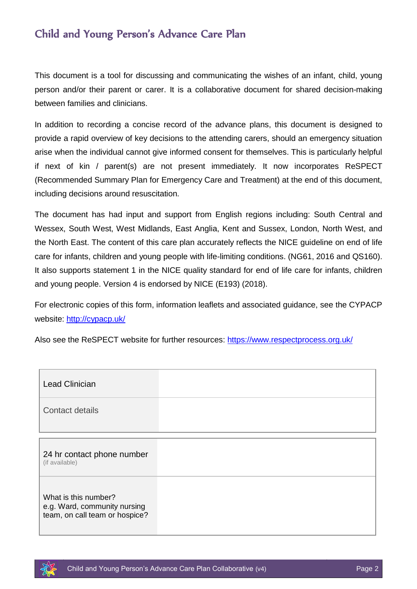#### Child and Young Person's Advance Care Plan

This document is a tool for discussing and communicating the wishes of an infant, child, young person and/or their parent or carer. It is a collaborative document for shared decision-making between families and clinicians.

In addition to recording a concise record of the advance plans, this document is designed to provide a rapid overview of key decisions to the attending carers, should an emergency situation arise when the individual cannot give informed consent for themselves. This is particularly helpful if next of kin / parent(s) are not present immediately. It now incorporates ReSPECT (Recommended Summary Plan for Emergency Care and Treatment) at the end of this document, including decisions around resuscitation.

The document has had input and support from English regions including: South Central and Wessex, South West, West Midlands, East Anglia, Kent and Sussex, London, North West, and the North East. The content of this care plan accurately reflects the NICE guideline on end of life care for infants, children and young people with life-limiting conditions. (NG61, 2016 and QS160). It also supports statement 1 in the NICE quality standard for end of life care for infants, children and young people. Version 4 is endorsed by NICE (E193) (2018).

For electronic copies of this form, information leaflets and associated guidance, see the CYPACP website:<http://cypacp.uk/>

Also see the ReSPECT website for further resources:<https://www.respectprocess.org.uk/>

| <b>Lead Clinician</b>                                                                  |  |
|----------------------------------------------------------------------------------------|--|
| Contact details                                                                        |  |
| 24 hr contact phone number<br>(if available)                                           |  |
| What is this number?<br>e.g. Ward, community nursing<br>team, on call team or hospice? |  |

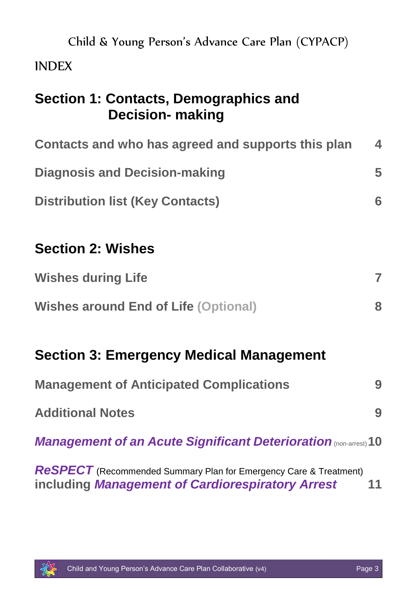| Child & Young Person's Advance Care Plan (CYPACP)                                                                            |                  |
|------------------------------------------------------------------------------------------------------------------------------|------------------|
| <b>INDEX</b>                                                                                                                 |                  |
| Section 1: Contacts, Demographics and<br><b>Decision- making</b>                                                             |                  |
| Contacts and who has agreed and supports this plan                                                                           | $\blacktriangle$ |
| <b>Diagnosis and Decision-making</b>                                                                                         | 5                |
| <b>Distribution list (Key Contacts)</b>                                                                                      | 6                |
| <b>Section 2: Wishes</b>                                                                                                     |                  |
| <b>Wishes during Life</b>                                                                                                    | 7                |
| <b>Wishes around End of Life (Optional)</b>                                                                                  | 8                |
| <b>Section 3: Emergency Medical Management</b>                                                                               |                  |
| <b>Management of Anticipated Complications</b>                                                                               | 9                |
| <b>Additional Notes</b>                                                                                                      | 9                |
| <b>Management of an Acute Significant Deterioration (non-arrest) 10</b>                                                      |                  |
| <b>ReSPECT</b> (Recommended Summary Plan for Emergency Care & Treatment)<br>including Management of Cardiorespiratory Arrest | 11               |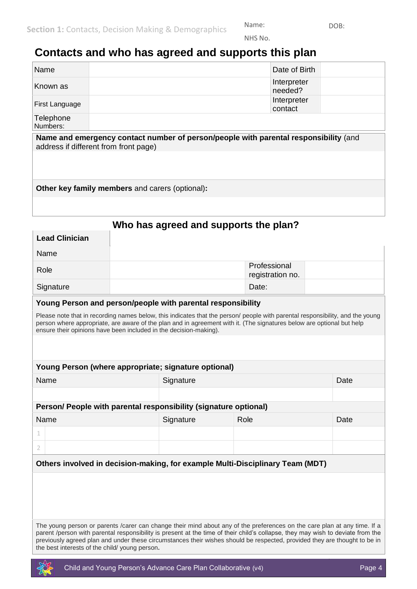Name: DOB: NHS No.

#### <span id="page-3-0"></span>**Contacts and who has agreed and supports this plan**

| Name                  | Date of Birth          |  |
|-----------------------|------------------------|--|
| Known as              | Interpreter<br>needed? |  |
| First Language        | Interpreter<br>contact |  |
| Telephone<br>Numbers: |                        |  |

**Name and emergency contact number of person/people with parental responsibility** (and address if different from front page)

**Other key family members** and carers (optional)**:**

**Lead Clinician**

#### **Who has agreed and supports the plan?**

| L <del>c</del> au Uilliulail                                                                                                                                                                                                                                                                                                                                                             |  |                                  |       |  |  |      |
|------------------------------------------------------------------------------------------------------------------------------------------------------------------------------------------------------------------------------------------------------------------------------------------------------------------------------------------------------------------------------------------|--|----------------------------------|-------|--|--|------|
| Name                                                                                                                                                                                                                                                                                                                                                                                     |  |                                  |       |  |  |      |
| Role                                                                                                                                                                                                                                                                                                                                                                                     |  | Professional<br>registration no. |       |  |  |      |
| Signature                                                                                                                                                                                                                                                                                                                                                                                |  |                                  | Date: |  |  |      |
| Young Person and person/people with parental responsibility                                                                                                                                                                                                                                                                                                                              |  |                                  |       |  |  |      |
| Please note that in recording names below, this indicates that the person/ people with parental responsibility, and the young<br>person where appropriate, are aware of the plan and in agreement with it. (The signatures below are optional but help<br>ensure their opinions have been included in the decision-making).                                                              |  |                                  |       |  |  |      |
|                                                                                                                                                                                                                                                                                                                                                                                          |  |                                  |       |  |  |      |
| Young Person (where appropriate; signature optional)                                                                                                                                                                                                                                                                                                                                     |  |                                  |       |  |  |      |
| Name                                                                                                                                                                                                                                                                                                                                                                                     |  | Signature                        |       |  |  | Date |
|                                                                                                                                                                                                                                                                                                                                                                                          |  |                                  |       |  |  |      |
| Person/ People with parental responsibility (signature optional)                                                                                                                                                                                                                                                                                                                         |  |                                  |       |  |  |      |
| Name                                                                                                                                                                                                                                                                                                                                                                                     |  | Signature                        | Role  |  |  | Date |
| 1                                                                                                                                                                                                                                                                                                                                                                                        |  |                                  |       |  |  |      |
| 2                                                                                                                                                                                                                                                                                                                                                                                        |  |                                  |       |  |  |      |
| Others involved in decision-making, for example Multi-Disciplinary Team (MDT)                                                                                                                                                                                                                                                                                                            |  |                                  |       |  |  |      |
|                                                                                                                                                                                                                                                                                                                                                                                          |  |                                  |       |  |  |      |
|                                                                                                                                                                                                                                                                                                                                                                                          |  |                                  |       |  |  |      |
|                                                                                                                                                                                                                                                                                                                                                                                          |  |                                  |       |  |  |      |
| The young person or parents /carer can change their mind about any of the preferences on the care plan at any time. If a<br>parent /person with parental responsibility is present at the time of their child's collapse, they may wish to deviate from the<br>previously agreed plan and under these circumstances their wishes should be respected, provided they are thought to be in |  |                                  |       |  |  |      |

the best interests of the child/ young person**.**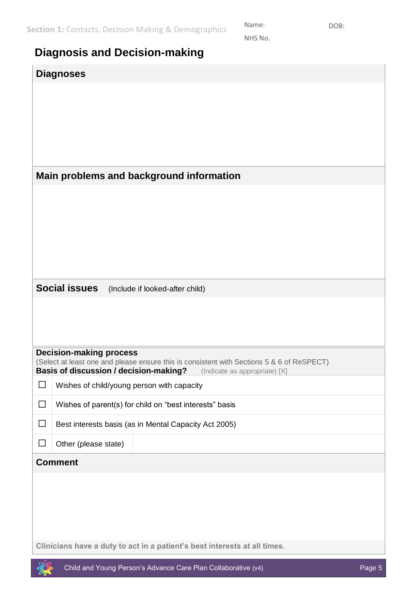Name: DOB: NHS No.

<span id="page-4-0"></span>

| <b>Diagnosis and Decision-making</b> |  |  |
|--------------------------------------|--|--|
|                                      |  |  |

| <b>Diagnoses</b>                                                                                                                                                     |
|----------------------------------------------------------------------------------------------------------------------------------------------------------------------|
|                                                                                                                                                                      |
|                                                                                                                                                                      |
|                                                                                                                                                                      |
|                                                                                                                                                                      |
|                                                                                                                                                                      |
| Main problems and background information                                                                                                                             |
|                                                                                                                                                                      |
|                                                                                                                                                                      |
|                                                                                                                                                                      |
|                                                                                                                                                                      |
|                                                                                                                                                                      |
| <b>Social issues</b><br>(Include if looked-after child)                                                                                                              |
|                                                                                                                                                                      |
|                                                                                                                                                                      |
|                                                                                                                                                                      |
| <b>Decision-making process</b>                                                                                                                                       |
| (Select at least one and please ensure this is consistent with Sections 5 & 6 of ReSPECT)<br>Basis of discussion / decision-making?<br>(Indicate as appropriate) [X] |
| Wishes of child/young person with capacity<br>□                                                                                                                      |
| Wishes of parent(s) for child on "best interests" basis<br>□                                                                                                         |
| $\Box$<br>Best interests basis (as in Mental Capacity Act 2005)                                                                                                      |
| $\Box$<br>Other (please state)                                                                                                                                       |
| <b>Comment</b>                                                                                                                                                       |
|                                                                                                                                                                      |
|                                                                                                                                                                      |
|                                                                                                                                                                      |
|                                                                                                                                                                      |
| Clinicians have a duty to act in a patient's best interests at all times.                                                                                            |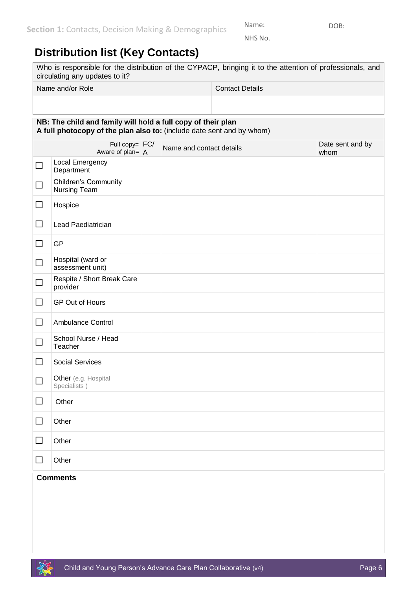NHS No.

Name: DOB:

### <span id="page-5-0"></span>**Distribution list (Key Contacts)**

|        | Who is responsible for the distribution of the CYPACP, bringing it to the attention of professionals, and<br>circulating any updates to it? |                          |                        |                          |  |
|--------|---------------------------------------------------------------------------------------------------------------------------------------------|--------------------------|------------------------|--------------------------|--|
|        | Name and/or Role                                                                                                                            |                          | <b>Contact Details</b> |                          |  |
|        |                                                                                                                                             |                          |                        |                          |  |
|        | NB: The child and family will hold a full copy of their plan<br>A full photocopy of the plan also to: (include date sent and by whom)       |                          |                        |                          |  |
|        | Full copy= $FC/$<br>Aware of plan= $\overline{A}$                                                                                           | Name and contact details |                        | Date sent and by<br>whom |  |
| $\Box$ | Local Emergency<br>Department                                                                                                               |                          |                        |                          |  |
| $\Box$ | <b>Children's Community</b><br>Nursing Team                                                                                                 |                          |                        |                          |  |
| $\Box$ | Hospice                                                                                                                                     |                          |                        |                          |  |
| $\Box$ | Lead Paediatrician                                                                                                                          |                          |                        |                          |  |
| $\Box$ | GP                                                                                                                                          |                          |                        |                          |  |
| $\Box$ | Hospital (ward or<br>assessment unit)                                                                                                       |                          |                        |                          |  |
| $\Box$ | Respite / Short Break Care<br>provider                                                                                                      |                          |                        |                          |  |
| $\Box$ | <b>GP Out of Hours</b>                                                                                                                      |                          |                        |                          |  |
| $\Box$ | <b>Ambulance Control</b>                                                                                                                    |                          |                        |                          |  |
| $\Box$ | School Nurse / Head<br>Teacher                                                                                                              |                          |                        |                          |  |
| $\Box$ | <b>Social Services</b>                                                                                                                      |                          |                        |                          |  |
| $\Box$ | Other (e.g. Hospital<br>Specialists)                                                                                                        |                          |                        |                          |  |
| $\Box$ | Other                                                                                                                                       |                          |                        |                          |  |
| $\Box$ | Other                                                                                                                                       |                          |                        |                          |  |
|        | Other                                                                                                                                       |                          |                        |                          |  |

#### ☐ Other **Comments**

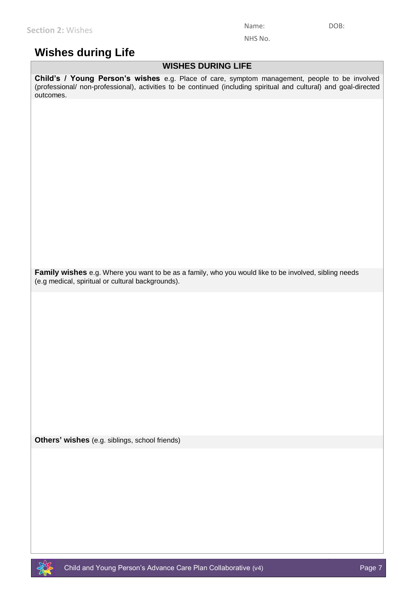NHS No.

#### <span id="page-6-0"></span>**Wishes during Life**

#### **WISHES DURING LIFE**

**Child's / Young Person's wishes** e.g. Place of care, symptom management, people to be involved (professional/ non-professional), activities to be continued (including spiritual and cultural) and goal-directed outcomes.

**Family wishes** e.g. Where you want to be as a family, who you would like to be involved, sibling needs (e.g medical, spiritual or cultural backgrounds).

**Others' wishes** (e.g. siblings, school friends)

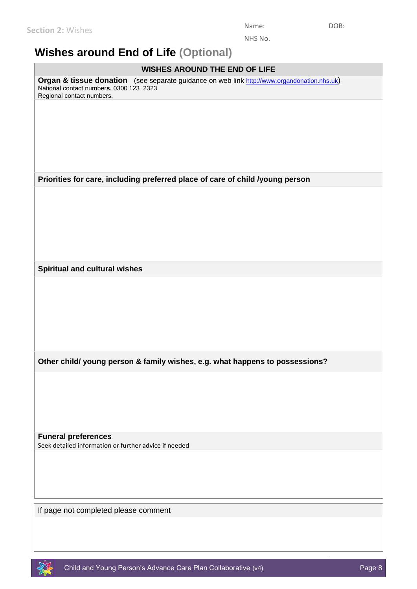NHS No.

### <span id="page-7-0"></span>**Wishes around End of Life (Optional)**

# If page not completed please comment **WISHES AROUND THE END OF LIFE Organ & tissue donation** (see separate guidance on web link [http://www.organdonation.nhs.uk](http://www.organdonation.nhs.uk/)) National contact number**s**. 0300 123 2323 Regional contact numbers. **Priorities for care, including preferred place of care of child /young person Spiritual and cultural wishes Other child/ young person & family wishes, e.g. what happens to possessions? Funeral preferences** Seek detailed information or further advice if needed

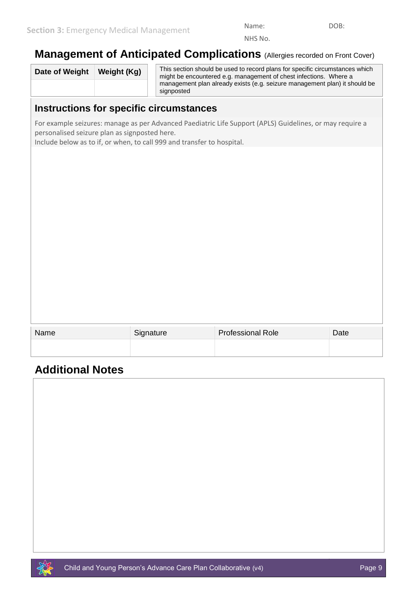NHS No.

#### <span id="page-8-0"></span>**Management of Anticipated Complications** (Allergies recorded on Front Cover)

| Date of Weight | Weight (Kg) | This section should be used to record plans for specific circumstances which<br>might be encountered e.g. management of chest infections. Where a |  |
|----------------|-------------|---------------------------------------------------------------------------------------------------------------------------------------------------|--|
|                |             | management plan already exists (e.g. seizure management plan) it should be<br>signposted                                                          |  |

#### **Instructions for specific circumstances**

For example seizures: manage as per Advanced Paediatric Life Support (APLS) Guidelines, or may require a personalised seizure plan as signposted here.

Include below as to if, or when, to call 999 and transfer to hospital.

| Name | Signature | <b>Professional Role</b> | Date |
|------|-----------|--------------------------|------|
|      |           |                          |      |
|      |           |                          |      |

#### **Additional Notes**

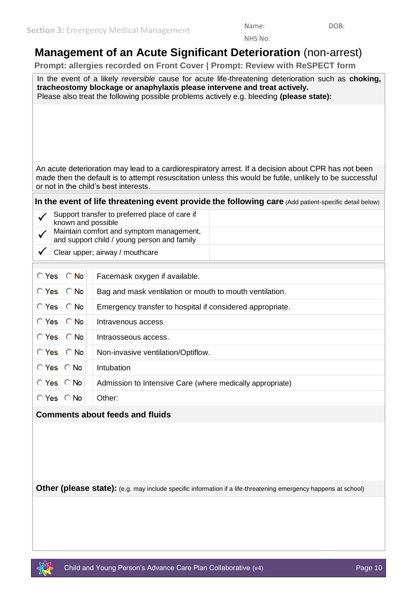NHS No.

## <span id="page-9-0"></span>**Management of an Acute Significant Deterioration** (non-arrest)

 **Prompt: allergies recorded on Front Cover | Prompt: Review with ReSPECT form**

In the event of a likely *reversible* cause for acute life-threatening deterioration such as **choking, tracheostomy blockage or anaphylaxis please intervene and treat actively.** Please also treat the following possible problems actively e.g. bleeding **(please state):**

An acute deterioration may lead to a cardiorespiratory arrest. If a decision about CPR has not been made then the default is to attempt resuscitation unless this would be futile, unlikely to be successful or not in the child's best interests.

**In the event of life threatening event provide the following care** (Add patient-specific detail below)

| Support transfer to preferred place of care if<br>known and possible                    |  |
|-----------------------------------------------------------------------------------------|--|
| Maintain comfort and symptom management,<br>and support child / young person and family |  |
| Clear upper; airway / mouthcare                                                         |  |

| $O$ Yes $O$ No               | Facemask oxygen if available.                             |
|------------------------------|-----------------------------------------------------------|
| $O Yes$ $O No$               | Bag and mask ventilation or mouth to mouth ventilation.   |
| $O Yes$ $O No$               | Emergency transfer to hospital if considered appropriate. |
| $O Yes$ $O No$               | Intravenous access                                        |
| $O Yes$ $O No$               | Intraosseous access.                                      |
| $O Yes$ $O No$               | Non-invasive ventilation/Optiflow.                        |
| $O$ Yes $O$ No               | Intubation                                                |
| $\bigcirc$ Yes $\bigcirc$ No | Admission to Intensive Care (where medically appropriate) |
| $\bigcirc$ Yes $\bigcirc$ No | Other:                                                    |
|                              |                                                           |

#### **Comments about feeds and fluids**

**Other (please state):** (e.g. may include specific information if a life-threatening emergency happens at school)

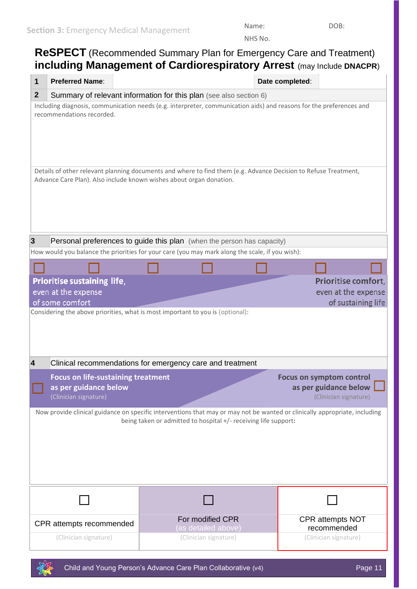NHS No.

## <span id="page-10-0"></span>**ReSPECT** (Recommended Summary Plan for Emergency Care and Treatment) **including Management of Cardiorespiratory Arrest** (may Include **DNACPR**) **1 Preferred Name**: **Date completed**: **2** Summary of relevant information for this plan (see also section 6) Including diagnosis, communication needs (e.g. interpreter, communication aids) and reasons for the preferences and recommendations recorded. Details of other relevant planning documents and where to find them (e.g. Advance Decision to Refuse Treatment, Advance Care Plan). Also include known wishes about organ donation.

| 3 | Personal preferences to guide this plan (when the person has capacity)                          |  |                     |                     |
|---|-------------------------------------------------------------------------------------------------|--|---------------------|---------------------|
|   | How would you balance the priorities for your care (you may mark along the scale, if you wish): |  |                     |                     |
|   |                                                                                                 |  |                     |                     |
|   | Prioritise sustaining life,                                                                     |  | Prioritise comfort, |                     |
|   | even at the expense                                                                             |  |                     | even at the expense |
|   | of some comfort                                                                                 |  |                     | of sustaining life  |
|   | Considering the above priorities, what is most important to you is (optional):                  |  |                     |                     |

| Clinical recommendations for emergency care and treatment          |                                                          |
|--------------------------------------------------------------------|----------------------------------------------------------|
| <b>Focus on life-sustaining treatment</b><br>as per guidance below | <b>Focus on symptom control</b><br>as per guidance below |
| (Clinician signature)                                              | (Clinician signature)                                    |

Now provide clinical guidance on specific interventions that may or may not be wanted or clinically appropriate, including being taken or admitted to hospital +/- receiving life support**:**





☐